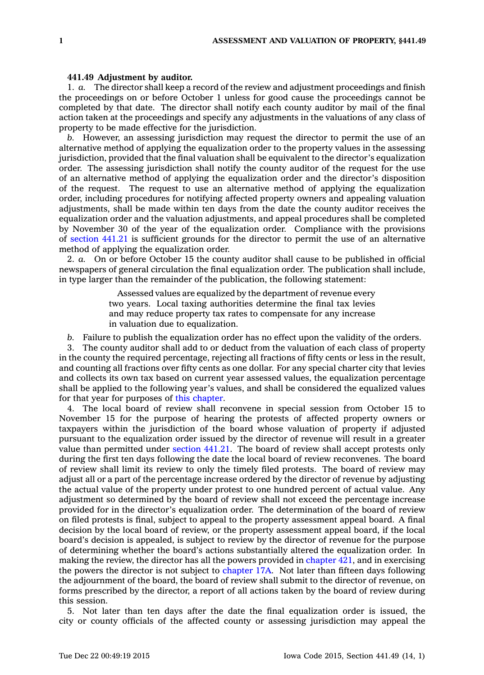## **441.49 Adjustment by auditor.**

1. *a.* The director shall keep <sup>a</sup> record of the review and adjustment proceedings and finish the proceedings on or before October 1 unless for good cause the proceedings cannot be completed by that date. The director shall notify each county auditor by mail of the final action taken at the proceedings and specify any adjustments in the valuations of any class of property to be made effective for the jurisdiction.

*b.* However, an assessing jurisdiction may request the director to permit the use of an alternative method of applying the equalization order to the property values in the assessing jurisdiction, provided that the final valuation shall be equivalent to the director's equalization order. The assessing jurisdiction shall notify the county auditor of the request for the use of an alternative method of applying the equalization order and the director's disposition of the request. The request to use an alternative method of applying the equalization order, including procedures for notifying affected property owners and appealing valuation adjustments, shall be made within ten days from the date the county auditor receives the equalization order and the valuation adjustments, and appeal procedures shall be completed by November 30 of the year of the equalization order. Compliance with the provisions of [section](https://www.legis.iowa.gov/docs/code//441.21.pdf) 441.21 is sufficient grounds for the director to permit the use of an alternative method of applying the equalization order.

2. *a.* On or before October 15 the county auditor shall cause to be published in official newspapers of general circulation the final equalization order. The publication shall include, in type larger than the remainder of the publication, the following statement:

> Assessed values are equalized by the department of revenue every two years. Local taxing authorities determine the final tax levies and may reduce property tax rates to compensate for any increase in valuation due to equalization.

*b.* Failure to publish the equalization order has no effect upon the validity of the orders.

3. The county auditor shall add to or deduct from the valuation of each class of property in the county the required percentage, rejecting all fractions of fifty cents or less in the result, and counting all fractions over fifty cents as one dollar. For any special charter city that levies and collects its own tax based on current year assessed values, the equalization percentage shall be applied to the following year's values, and shall be considered the equalized values for that year for purposes of this [chapter](https://www.legis.iowa.gov/docs/code//441.pdf).

4. The local board of review shall reconvene in special session from October 15 to November 15 for the purpose of hearing the protests of affected property owners or taxpayers within the jurisdiction of the board whose valuation of property if adjusted pursuant to the equalization order issued by the director of revenue will result in <sup>a</sup> greater value than permitted under [section](https://www.legis.iowa.gov/docs/code//441.21.pdf) 441.21. The board of review shall accept protests only during the first ten days following the date the local board of review reconvenes. The board of review shall limit its review to only the timely filed protests. The board of review may adjust all or <sup>a</sup> part of the percentage increase ordered by the director of revenue by adjusting the actual value of the property under protest to one hundred percent of actual value. Any adjustment so determined by the board of review shall not exceed the percentage increase provided for in the director's equalization order. The determination of the board of review on filed protests is final, subject to appeal to the property assessment appeal board. A final decision by the local board of review, or the property assessment appeal board, if the local board's decision is appealed, is subject to review by the director of revenue for the purpose of determining whether the board's actions substantially altered the equalization order. In making the review, the director has all the powers provided in [chapter](https://www.legis.iowa.gov/docs/code//421.pdf) 421, and in exercising the powers the director is not subject to [chapter](https://www.legis.iowa.gov/docs/code//17A.pdf) 17A. Not later than fifteen days following the adjournment of the board, the board of review shall submit to the director of revenue, on forms prescribed by the director, <sup>a</sup> report of all actions taken by the board of review during this session.

5. Not later than ten days after the date the final equalization order is issued, the city or county officials of the affected county or assessing jurisdiction may appeal the